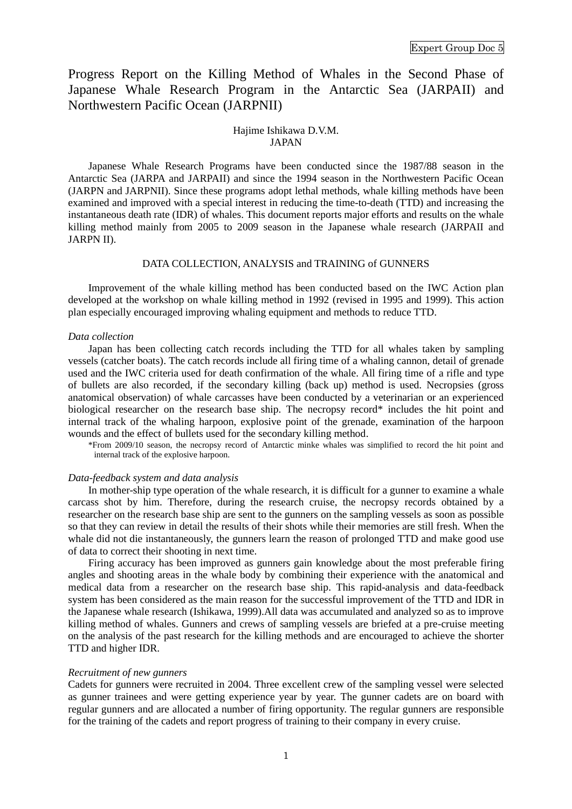Progress Report on the Killing Method of Whales in the Second Phase of Japanese Whale Research Program in the Antarctic Sea (JARPAII) and Northwestern Pacific Ocean (JARPNII)

### Hajime Ishikawa D.V.M. JAPAN

Japanese Whale Research Programs have been conducted since the 1987/88 season in the Antarctic Sea (JARPA and JARPAII) and since the 1994 season in the Northwestern Pacific Ocean (JARPN and JARPNII). Since these programs adopt lethal methods, whale killing methods have been examined and improved with a special interest in reducing the time-to-death (TTD) and increasing the instantaneous death rate (IDR) of whales. This document reports major efforts and results on the whale killing method mainly from 2005 to 2009 season in the Japanese whale research (JARPAII and JARPN II).

# DATA COLLECTION, ANALYSIS and TRAINING of GUNNERS

Improvement of the whale killing method has been conducted based on the IWC Action plan developed at the workshop on whale killing method in 1992 (revised in 1995 and 1999). This action plan especially encouraged improving whaling equipment and methods to reduce TTD.

### *Data collection*

Japan has been collecting catch records including the TTD for all whales taken by sampling vessels (catcher boats). The catch records include all firing time of a whaling cannon, detail of grenade used and the IWC criteria used for death confirmation of the whale. All firing time of a rifle and type of bullets are also recorded, if the secondary killing (back up) method is used. Necropsies (gross anatomical observation) of whale carcasses have been conducted by a veterinarian or an experienced biological researcher on the research base ship. The necropsy record\* includes the hit point and internal track of the whaling harpoon, explosive point of the grenade, examination of the harpoon wounds and the effect of bullets used for the secondary killing method.

\*From 2009/10 season, the necropsy record of Antarctic minke whales was simplified to record the hit point and internal track of the explosive harpoon.

# *Data-feedback system and data analysis*

In mother-ship type operation of the whale research, it is difficult for a gunner to examine a whale carcass shot by him. Therefore, during the research cruise, the necropsy records obtained by a researcher on the research base ship are sent to the gunners on the sampling vessels as soon as possible so that they can review in detail the results of their shots while their memories are still fresh. When the whale did not die instantaneously, the gunners learn the reason of prolonged TTD and make good use of data to correct their shooting in next time.

Firing accuracy has been improved as gunners gain knowledge about the most preferable firing angles and shooting areas in the whale body by combining their experience with the anatomical and medical data from a researcher on the research base ship. This rapid-analysis and data-feedback system has been considered as the main reason for the successful improvement of the TTD and IDR in the Japanese whale research (Ishikawa, 1999).All data was accumulated and analyzed so as to improve killing method of whales. Gunners and crews of sampling vessels are briefed at a pre-cruise meeting on the analysis of the past research for the killing methods and are encouraged to achieve the shorter TTD and higher IDR.

#### *Recruitment of new gunners*

Cadets for gunners were recruited in 2004. Three excellent crew of the sampling vessel were selected as gunner trainees and were getting experience year by year. The gunner cadets are on board with regular gunners and are allocated a number of firing opportunity. The regular gunners are responsible for the training of the cadets and report progress of training to their company in every cruise.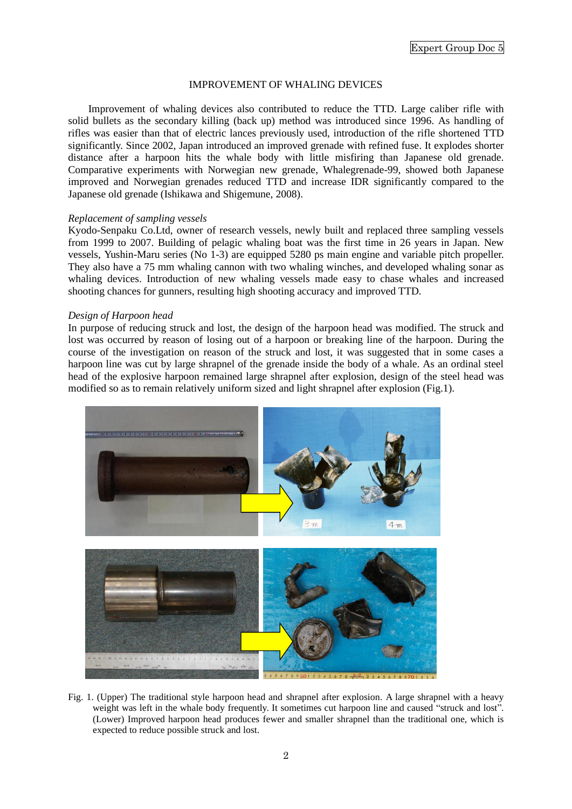# IMPROVEMENT OF WHALING DEVICES

Improvement of whaling devices also contributed to reduce the TTD. Large caliber rifle with solid bullets as the secondary killing (back up) method was introduced since 1996. As handling of rifles was easier than that of electric lances previously used, introduction of the rifle shortened TTD significantly. Since 2002, Japan introduced an improved grenade with refined fuse. It explodes shorter distance after a harpoon hits the whale body with little misfiring than Japanese old grenade. Comparative experiments with Norwegian new grenade, Whalegrenade-99, showed both Japanese improved and Norwegian grenades reduced TTD and increase IDR significantly compared to the Japanese old grenade (Ishikawa and Shigemune, 2008).

### *Replacement of sampling vessels*

Kyodo-Senpaku Co.Ltd, owner of research vessels, newly built and replaced three sampling vessels from 1999 to 2007. Building of pelagic whaling boat was the first time in 26 years in Japan. New vessels, Yushin-Maru series (No 1-3) are equipped 5280 ps main engine and variable pitch propeller. They also have a 75 mm whaling cannon with two whaling winches, and developed whaling sonar as whaling devices. Introduction of new whaling vessels made easy to chase whales and increased shooting chances for gunners, resulting high shooting accuracy and improved TTD.

# *Design of Harpoon head*

In purpose of reducing struck and lost, the design of the harpoon head was modified. The struck and lost was occurred by reason of losing out of a harpoon or breaking line of the harpoon. During the course of the investigation on reason of the struck and lost, it was suggested that in some cases a harpoon line was cut by large shrapnel of the grenade inside the body of a whale. As an ordinal steel head of the explosive harpoon remained large shrapnel after explosion, design of the steel head was modified so as to remain relatively uniform sized and light shrapnel after explosion (Fig.1).



Fig. 1. (Upper) The traditional style harpoon head and shrapnel after explosion. A large shrapnel with a heavy weight was left in the whale body frequently. It sometimes cut harpoon line and caused "struck and lost". (Lower) Improved harpoon head produces fewer and smaller shrapnel than the traditional one, which is expected to reduce possible struck and lost.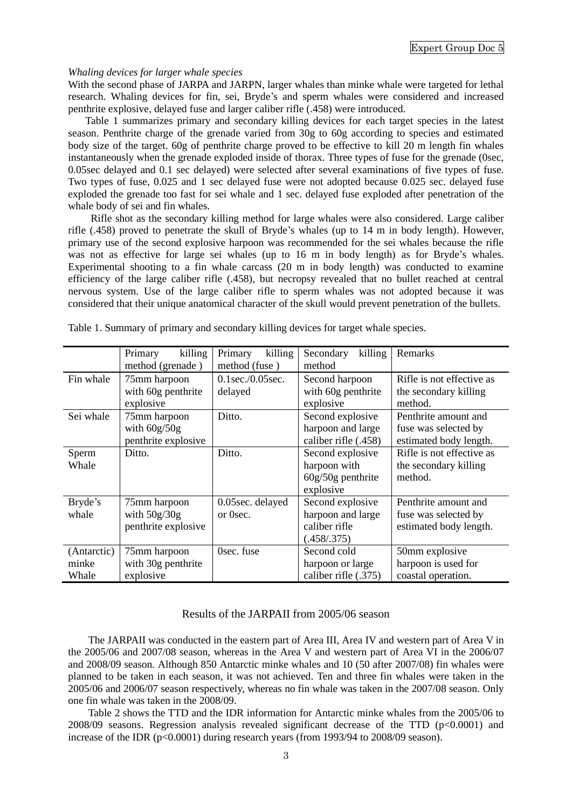### *Whaling devices for larger whale species*

With the second phase of JARPA and JARPN, larger whales than minke whale were targeted for lethal research. Whaling devices for fin, sei, Bryde's and sperm whales were considered and increased penthrite explosive, delayed fuse and larger caliber rifle (.458) were introduced.

Table 1 summarizes primary and secondary killing devices for each target species in the latest season. Penthrite charge of the grenade varied from 30g to 60g according to species and estimated body size of the target. 60g of penthrite charge proved to be effective to kill 20 m length fin whales instantaneously when the grenade exploded inside of thorax. Three types of fuse for the grenade (0sec, 0.05sec delayed and 0.1 sec delayed) were selected after several examinations of five types of fuse. Two types of fuse, 0.025 and 1 sec delayed fuse were not adopted because 0.025 sec. delayed fuse exploded the grenade too fast for sei whale and 1 sec. delayed fuse exploded after penetration of the whale body of sei and fin whales.

Rifle shot as the secondary killing method for large whales were also considered. Large caliber rifle (.458) proved to penetrate the skull of Bryde's whales (up to 14 m in body length). However, primary use of the second explosive harpoon was recommended for the sei whales because the rifle was not as effective for large sei whales (up to 16 m in body length) as for Bryde's whales. Experimental shooting to a fin whale carcass (20 m in body length) was conducted to examine efficiency of the large caliber rifle (.458), but necropsy revealed that no bullet reached at central nervous system. Use of the large caliber rifle to sperm whales was not adopted because it was considered that their unique anatomical character of the skull would prevent penetration of the bullets.

|             | Primary<br>killing  | killing<br>Primary      | Secondary<br>killing | Remarks                   |  |  |
|-------------|---------------------|-------------------------|----------------------|---------------------------|--|--|
|             | method (grenade)    | method (fuse)           | method               |                           |  |  |
| Fin whale   | 75mm harpoon        | $0.1$ sec./ $0.05$ sec. | Second harpoon       | Rifle is not effective as |  |  |
|             | with 60g penthrite  | delayed                 | with 60g penthrite   | the secondary killing     |  |  |
|             | explosive           |                         | explosive            | method.                   |  |  |
| Sei whale   | 75mm harpoon        | Ditto.                  | Second explosive     | Penthrite amount and      |  |  |
|             | with $60g/50g$      |                         | harpoon and large    | fuse was selected by      |  |  |
|             | penthrite explosive |                         | caliber rifle (.458) | estimated body length.    |  |  |
| Sperm       | Ditto.              | Ditto.                  | Second explosive     | Rifle is not effective as |  |  |
| Whale       |                     |                         | harpoon with         | the secondary killing     |  |  |
|             |                     |                         | $60g/50g$ penthrite  | method.                   |  |  |
|             |                     |                         | explosive            |                           |  |  |
| Bryde's     | 75mm harpoon        | 0.05sec. delayed        | Second explosive     | Penthrite amount and      |  |  |
| whale       | with $50g/30g$      | or 0sec.                | harpoon and large    | fuse was selected by      |  |  |
|             | penthrite explosive |                         | caliber rifle        | estimated body length.    |  |  |
|             |                     |                         | (.458/.375)          |                           |  |  |
| (Antarctic) | 75mm harpoon        | Osec. fuse              | Second cold          | 50mm explosive            |  |  |
| minke       | with 30g penthrite  |                         | harpoon or large     | harpoon is used for       |  |  |
| Whale       | explosive           |                         | caliber rifle (.375) | coastal operation.        |  |  |

Table 1. Summary of primary and secondary killing devices for target whale species.

# Results of the JARPAII from 2005/06 season

The JARPAII was conducted in the eastern part of Area III, Area IV and western part of Area V in the 2005/06 and 2007/08 season, whereas in the Area V and western part of Area VI in the 2006/07 and 2008/09 season. Although 850 Antarctic minke whales and 10 (50 after 2007/08) fin whales were planned to be taken in each season, it was not achieved. Ten and three fin whales were taken in the 2005/06 and 2006/07 season respectively, whereas no fin whale was taken in the 2007/08 season. Only one fin whale was taken in the 2008/09.

Table 2 shows the TTD and the IDR information for Antarctic minke whales from the 2005/06 to 2008/09 seasons. Regression analysis revealed significant decrease of the TTD (p<0.0001) and increase of the IDR (p<0.0001) during research years (from 1993/94 to 2008/09 season).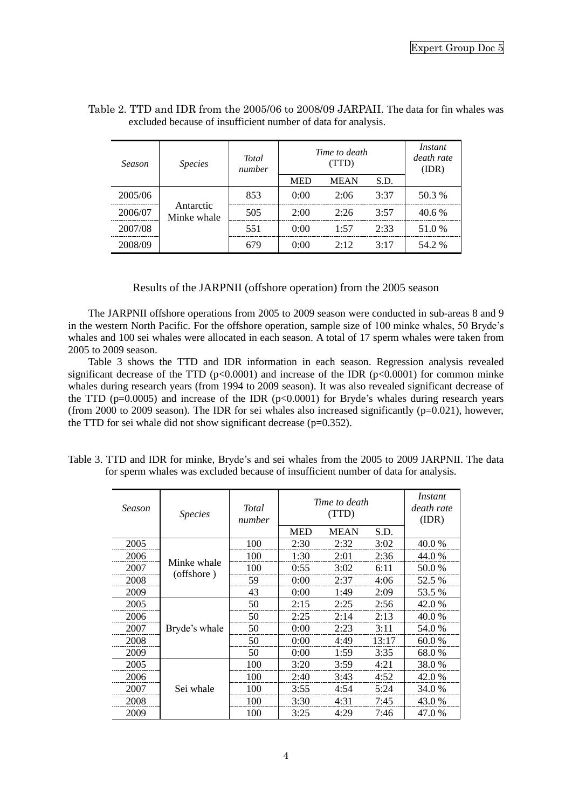| Season  | <b>Species</b>           | <b>Total</b><br>number | Time to death | Instant<br>death rate<br>(IDR) |      |        |
|---------|--------------------------|------------------------|---------------|--------------------------------|------|--------|
|         |                          |                        | <b>MED</b>    | <b>MEAN</b>                    | S.D. |        |
| 2005/06 |                          | 853                    | 0:00          | 2:06                           | 3:37 | 50.3 % |
| 2006/07 | Antarctic<br>Minke whale | 505                    | 2:00          | 2.26                           | 3:57 | 40.6%  |
| 2007/08 |                          | 551                    | 0:00          | 1.57                           | 2:33 | 51.0%  |
| 2008/09 |                          | 679                    | 0:00          | 2.12                           | 3:17 | 54.2 % |

| Table 2. TTD and IDR from the 2005/06 to 2008/09 JARPAII. The data for fin whales was |  |
|---------------------------------------------------------------------------------------|--|
| excluded because of insufficient number of data for analysis.                         |  |

# Results of the JARPNII (offshore operation) from the 2005 season

The JARPNII offshore operations from 2005 to 2009 season were conducted in sub-areas 8 and 9 in the western North Pacific. For the offshore operation, sample size of 100 minke whales, 50 Bryde's whales and 100 sei whales were allocated in each season. A total of 17 sperm whales were taken from 2005 to 2009 season.

Table 3 shows the TTD and IDR information in each season. Regression analysis revealed significant decrease of the TTD ( $p<0.0001$ ) and increase of the IDR ( $p<0.0001$ ) for common minke whales during research years (from 1994 to 2009 season). It was also revealed significant decrease of the TTD ( $p=0.0005$ ) and increase of the IDR ( $p<0.0001$ ) for Bryde's whales during research years (from 2000 to 2009 season). The IDR for sei whales also increased significantly ( $p=0.021$ ), however, the TTD for sei whale did not show significant decrease (p=0.352).

| Table 3. TTD and IDR for minke, Bryde's and sei whales from the 2005 to 2009 JARPNII. The data |  |  |  |  |  |  |  |
|------------------------------------------------------------------------------------------------|--|--|--|--|--|--|--|
| for sperm whales was excluded because of insufficient number of data for analysis.             |  |  |  |  |  |  |  |

| Season | <b>Species</b>            | <b>Total</b><br>number | Time to death | Instant<br>death rate<br>(IDR) |       |        |
|--------|---------------------------|------------------------|---------------|--------------------------------|-------|--------|
|        |                           |                        | <b>MED</b>    | <b>MEAN</b>                    | S.D.  |        |
| 2005   |                           | 100                    | 2:30          | 2:32                           | 3:02  | 40.0 % |
| 2006   | Minke whale<br>(offshore) | 100                    | 1:30          | 2:01                           | 2:36  | 44.0 % |
| 2007   |                           | 100                    | 0:55          | 3:02                           | 6:11  | 50.0 % |
| 2008   |                           | 59                     | 0:00          | 2:37                           | 4:06  | 52.5 % |
| 2009   |                           | 43                     | 0:00          | 1:49                           | 2:09  | 53.5 % |
| 2005   | Bryde's whale             | 50                     | 2:15          | 2:25                           | 2:56  | 42.0 % |
| 2006   |                           | 50                     | 2:25          | 2:14                           | 2:13  | 40.0 % |
| 2007   |                           | 50                     | 0:00          | 2:23                           | 3:11  | 54.0 % |
| 2008   |                           | 50                     | 0:00          | 4:49                           | 13:17 | 60.0 % |
| 2009   |                           | 50                     | 0:00          | 1:59                           | 3:35  | 68.0%  |
| 2005   |                           | 100                    | 3:20          | 3:59                           | 4:21  | 38.0 % |
| 2006   | Sei whale                 | 100                    | 2:40          | 3:43                           | 4:52  | 42.0 % |
| 2007   |                           | 100                    | 3:55          | 4:54                           | 5:24  | 34.0 % |
| 2008   |                           | 100                    | 3:30          | 4:31                           | 7:45  | 43.0 % |
| 2009   |                           | 100                    | 3:25          | 4:29                           | 7:46  | 47.0 % |